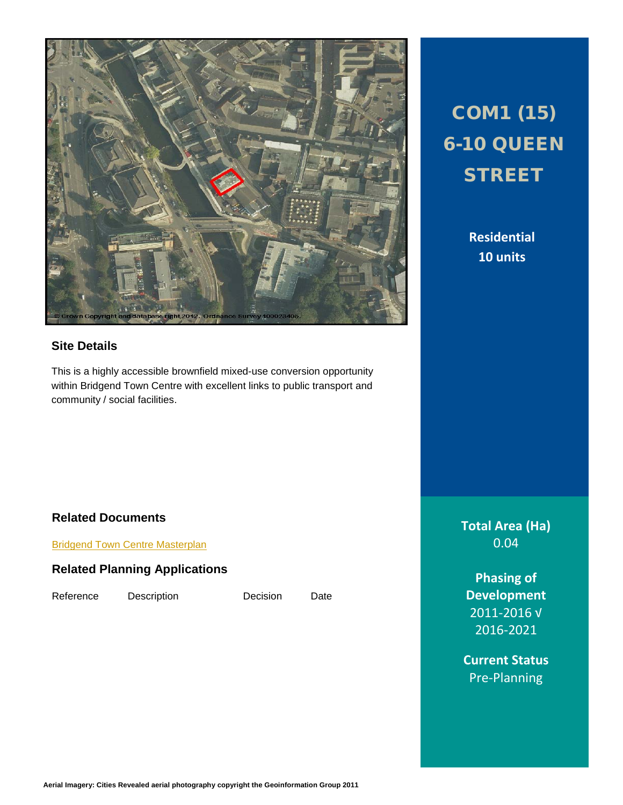

## **Site Details**

This is a highly accessible brownfield mixed-use conversion opportunity within Bridgend Town Centre with excellent links to public transport and community / social facilities.

## [Bridgend Town Centre Masterplan](http://www1.bridgend.gov.uk/services/planning/supplementary-planning-guidance-(spg)/bridgend-town-centre-masterplan.aspx)

**Related Documents**

**Related Planning Applications**

Reference Description Decision Date

# COM1 (15) 6-10 QUEEN **STREET**

**Residential 10 units**

**Total Area (Ha)** 0.04

**Phasing of Development** 2011-2016 √ 2016-2021

**Current Status** Pre-Planning